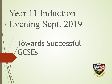# Year 11 Induction Evening Sept. 2019

# Towards Successful **GCSEs**

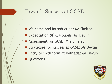#### Towards Success at GCSE

- Welcome and Introduction: Mr Skelton
- **Expectation of KS4 pupils: Mr Devlin**
- **Example 2 Assessment for GCSE: Mrs Emerson**
- **Exercises for success at GCSE: Mr Devlin**
- **Entry to sixth form at Dalriada: Mr Devlin**
- **Questions**

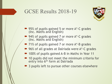### GCSE Results 2018-19



- 95% of pupils gained 5 or more A\*-C grades (Inc. Maths and English)
- 94% of pupils gained 7 or more A\*-C grades (Inc. Maths and English)
- 71% of pupils gained 7 or more A\*-B grades
- 96% of all grades at Dalriada were A\*-C grades
- 100% of pupils gained A-B in Maths in Year 11
- 10 pupils did not meet the minimum criteria for entry into 6<sup>th</sup> form at Dalriada
- 3 pupils left to pursue other courses elsewhere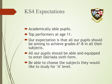# KS4 Expectations



- $\blacktriangleright$  Academically able pupils.
- Top performers at age 11.
- Our expectation is that all our pupils should be aiming to achieve grades A\*-B in all their subjects.
- All our pupils should be able and equipped to enter Dalriada sixth form.
- $\blacktriangleright$  Be able to choose the subjects they would like to study for 'A' level.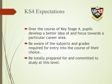## KS4 Expectations



- Over the course of Key Stage 4, pupils develop a better idea of and focus towards a particular career area.
- **Be aware of the subjects and grades** required for entry into the course of their choice.
- Be totally prepared for and committed to study at this level.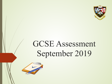

# GCSE Assessment September 2019

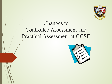

# Changes to Controlled Assessment and Practical Assessment at GCSE

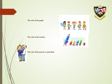#### **The role of the pupil**.

**The role of the teacher.**





**The role of the parent or guardian.**

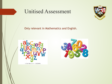

shutterstock.com - 130351961



Only relevant in Mathematics and English.

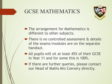## GCSE MATHEMATICS



- The arrangement for Mathematics is different to other subjects.
- There is no controlled assessment & details of the exams/modules are on the separate handout.
- All pupils will sit at least 45% of their GCSE in Year 11 and for some this is 100%.
- $\blacksquare$  If there are further queries, please contact our Head of Maths Mrs Convery directly.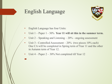# English Language



• English Language has four Units:

!

- Unit 1 Paper 1 30% **Year 11 will sit this in the summer term.**
- Unit  $2 -$  Speaking and Listening  $-20\%$  ongoing assessment
- Unit 3 Controlled Assessment 20% (two pieces 10% each) One CA will be completed in Spring term of Year 11 and the other in Autumn term of Year 12.
- Unit  $4$  Paper  $2 30\%$  Not completed till Year 12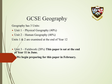

# GCSE Geography

Geography has 3 Units:

- $\blacksquare$  Unit 1 Physical Geography (40%)
- $\blacktriangleright$  Unit 2 Human Geography (40%)

Units  $1 \& 2$  are examined at the end of Year 12

▪ Unit 3 – Fieldwork (20%) **This paper is sat at the end of Year 11 in June.** 

We begin preparing for this paper in February.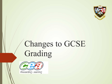

# Changes to GCSE Grading

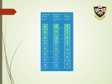

| <b>Current CCEA</b><br><b>Structure</b><br><b>Phased out</b><br>by 2019 | <b>New CCEA</b><br>Structure<br><b>First award</b><br>from summer<br>2019 | $9 - 1$<br>Structure<br>Nwarded<br>from 2017 |
|-------------------------------------------------------------------------|---------------------------------------------------------------------------|----------------------------------------------|
| A                                                                       | A*                                                                        | 9                                            |
| A                                                                       | Α                                                                         | 8                                            |
|                                                                         |                                                                           | 7                                            |
| B                                                                       | в                                                                         | 6                                            |
|                                                                         | $\mathsf{C}^\star$                                                        | ģ                                            |
| Ċ                                                                       | $\overline{\overline{\text{c}}}$                                          | 4                                            |
| D                                                                       | D                                                                         | 3                                            |
| E                                                                       | Ë                                                                         |                                              |
| F                                                                       | F                                                                         | 2                                            |
| G                                                                       | G                                                                         | $\mathbf{1}$                                 |

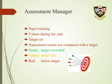#### Assessment Manager



- **Pupil tracking**
- 5 times during the year
- **Target set**
- ! Assessment results are compared with a target
- **Green: target exceeded**
- **Amber: target met**
- Red: below target

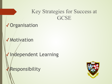### Key Strategies for Success at **GCSE**

✓Organisation

✓Motivation

Independent Learning

Responsibility

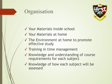### **Organisation**



- ✓ Your Materials inside school
- ✓ Your Materials at home
- ✓ The Environment at home to promote effective study
- ✓ Training in time management
- ✓ Knowledge and understanding of course requirements for each subject
- ✓ Knowledge of how each subject will be assessed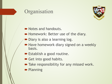### **Organisation**



- Notes and handouts.
- **Homework: Better use of the diary.**
- Diary is also a learning log.
- **Have homework diary signed on a weekly** basis.
- **Establish a good routine.**
- Get into good habits.
- Take responsibility for any missed work.
- **Planning**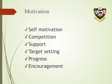

# ✓Self motivation ✓Competition ✓Support ✓Target setting ✓Progress ✓Encouragement

Motivation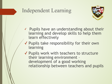## Independent Learning



- ✓ Pupils have an understanding about their learning and develop skills to help them learn effectively
- ✓ Pupils take responsibility for their own learning
- ✓ Pupils work with teachers to structure their learning environment – development of a good working relationship between teachers and pupils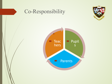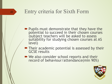#### Entry criteria for Sixth Form

22

- **Pupils must demonstrate that they have the** potential to succeed in their chosen courses (subject teachers will be asked to assess suitability for studying chosen courses at AS level)
- $\blacktriangleright$  Their academic potential is assessed by their GCSE results
- We also consider school reports and their record of behaviour/attendance(min 90%)

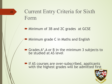# Current Entry Criteria for Sixth Form

• Minimum of 3B and 2C grades at GCSE

! Minimum grade C in Maths and English

- $\blacktriangleright$  Grades A\*, A or B in the minimum 3 subjects to be studied at AS level
- **If AS courses are over-subscribed, applicants** with the highest grades will be admitted first

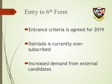

# Entry to 6th Form



#### **Entrance criteria is agreed for 2019**

#### **Dalriada is currently over**subscribed

**PIncreased demand from external** candidates